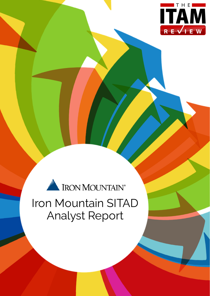

# IRON MOUNTAIN®

# Iron Mountain SITAD Analyst Report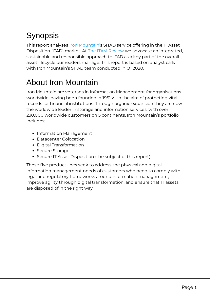# Synopsis

This report analyses Iron [Mountain](https://www.ironmountain.com/secure-destruction/it-asset-and-media-destruction/it-asset-disposition)'s SITAD service offering in the IT Asset Disposition (ITAD) market. At The ITAM [Review](https://www.itassetmanagement.net/) we advocate an integrated, sustainable and responsible approach to ITAD as a key part of the overall asset lifecycle our readers manage. This report is based on analyst calls with Iron Mountain's SITAD team conducted in Q1 2020.

# About Iron Mountain

Iron Mountain are veterans in Information Management for organisations worldwide, having been founded in 1951 with the aim of protecting vital records for financial institutions. Through organic expansion they are now the worldwide leader in storage and information services, with over 230,000 worldwide customers on 5 continents. Iron Mountain's portfolio includes;

- Information Management
- Datacenter Colocation
- Digital Transformation
- Secure Storage
- Secure IT Asset Disposition (the subject of this report)

These five product lines seek to address the physical and digital information management needs of customers who need to comply with legal and regulatory frameworks around information management, improve agility through digital transformation, and ensure that IT assets are disposed of in the right way.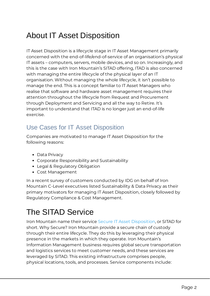## About IT Asset Disposition

IT Asset Disposition is a lifecycle stage in IT Asset Management primarily concerned with the end-of-life/end-of-service of an organisation's physical IT assets – computers, servers, mobile devices, and so on. Increasingly, and this is the case with Iron Mountain's SITAD offering, ITAD is also concerned with managing the entire lifecycle of the physical layer of an IT organisation. Without managing the whole lifecycle, it isn't possible to manage the end. This is a concept familiar to IT Asset Managers who realise that software and hardware asset management requires their attention throughout the lifecycle from Request and Procurement through Deployment and Servicing and all the way to Retire. It's important to understand that ITAD is no longer just an end-of-life exercise.

#### Use Cases for IT Asset Disposition

Companies are motivated to manage IT Asset Disposition for the following reasons:

- Data Privacy
- Corporate Responsibility and Sustainability
- Legal & Regulatory Obligation
- Cost Management

In a recent survey of customers conducted by IDG on behalf of Iron Mountain C-Level executives listed Sustainability & Data Privacy as their primary motivators for managing IT Asset Disposition, closely followed by Regulatory Compliance & Cost Management.

# The SITAD Service

Iron Mountain name their service Secure IT Asset [Disposition](https://www.ironmountain.com/secure-destruction/it-asset-and-media-destruction/it-asset-disposition), or SITAD for short. Why Secure? Iron Mountain provide a secure chain of custody through their entire lifecycle. They do this by leveraging their physical presence in the markets in which they operate. Iron Mountain's Information Management business requires global secure transportation and logistics services to meet customer needs, and these services are leveraged by SITAD. This existing infrastructure comprises people, physical locations, tools, and processes. Service components include: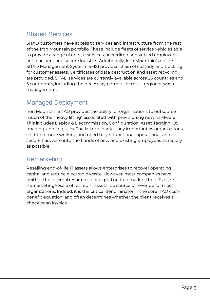#### Shared Services

SITAD customers have access to services and infrastructure from the rest of the Iron Mountain portfolio. These include fleets of service vehicles able to provide a range of on-site services, accredited and vetted employees and partners, and secure logistics. Additionally, Iron Mountain's online SITAD Management System (SMS) provides chain of custody and tracking for customer assets. Certificates of data destruction and asset recycling are provided. SITAD services are currently available across 26 countries and 5 continents, including the necessary permits for multi-region e-waste management.

#### Managed Deployment

Iron Mountain SITAD provides the ability for organisations to outsource much of the "heavy lifting" associated with provisioning new hardware. This includes Deploy & Decommission, Configuration, Asset Tagging, OS Imaging, and Logistics. The latter is particularly important as organisations shift to remote working and need to get functional, operational, and secure hardware into the hands of new and existing employees as rapidly as possible.

#### **Remarketing**

Reselling end-of-life IT assets allows enterprises to recover operating capital and reduce electronic waste. However, most companies have neither the internal resources nor expertise to remarket their IT assets. Remarketing/resale of retired IT assets is a source of revenue for most organizations. Indeed, it is the critical denominator in the core ITAD costbenefit equation, and often determines whether the client receives a check or an invoice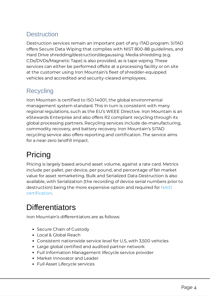#### **Destruction**

Destruction services remain an important part of any ITAD program. SITAD offers Secure Data Wiping that complies with NIST 800-88 guidelines, and Hard Drive shredding/destruction/degaussing. Media shredding (e.g. CDs/DVDs/Magnetic Tape) is also provided, as is tape wiping. These services can either be performed offsite at a processing facility or on site at the customer using Iron Mountain's fleet of shredder-equipped vehicles and accredited and security-cleared employees.

#### **Recycling**

Iron Mountain is certified to ISO 14001, the global environmental management system standard. This in turn is consistent with many regional regulations, such as the EU's WEEE Directive. Iron Mountain is an eStewards Enterprise and also offers R2 compliant recycling through its global processing partners. Recycling services include de-manufacturing, commodity recovery, and battery recovery. Iron Mountain's SITAD recycling service also offers reporting and certification. The service aims for a near-zero landfill impact.

# Pricing

Pricing is largely based around asset volume, against a rate card. Metrics include per pallet, per device, per pound, and percentage of fair market value for asset remarketing. Bulk and Serialized Data Destruction is also available, with Serialization (the recording of device serial numbers prior to [destruction\)](https://naidonline.org/) being the more expensive option and required for NAID certification.

### **Differentiators**

Iron Mountain's differentiators are as follows:

- Secure Chain of Custody
- Local & Global Reach
- Consistent nationwide service level for U.S, with 3,500 vehicles
- Large global certified and audited partner network
- Full Information Management lifecycle service provider
- Market Innovator and Leader
- Full Asset Lifecycle services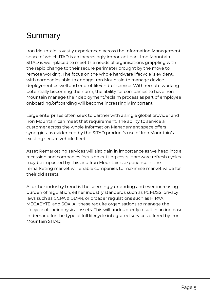## **Summary**

Iron Mountain is vastly experienced across the Information Management space of which ITAD is an increasingly important part. Iron Mountain SITAD is well-placed to meet the needs of organisations grappling with the rapid change to their secure perimeter brought by the move to remote working. The focus on the whole hardware lifecycle is evident, with companies able to engage Iron Mountain to manage device deployment as well and end-of-life/end-of-service. With remote working potentially becoming the norm, the ability for companies to have Iron Mountain manage their deployment/reclaim process as part of employee onboarding/offboarding will become increasingly important.

Large enterprises often seek to partner with a single global provider and Iron Mountain can meet that requirement. The ability to service a customer across the whole Information Management space offers synergies, as evidenced by the SITAD product's use of Iron Mountain's existing secure vehicle fleet.

Asset Remarketing services will also gain in importance as we head into a recession and companies focus on cutting costs. Hardware refresh cycles may be impacted by this and Iron Mountain's experience in the remarketing market will enable companies to maximise market value for their old assets.

A further industry trend is the seemingly unending and ever-increasing burden of regulation, either industry standards such as PCI-DSS, privacy laws such as CCPA & GDPR, or broader regulations such as HIPAA, MEGABYTE, and SOX. All these require organisations to manage the lifecycle of their physical assets. This will undoubtedly result in an increase in demand for the type of full lifecycle integrated services offered by Iron Mountain SITAD.